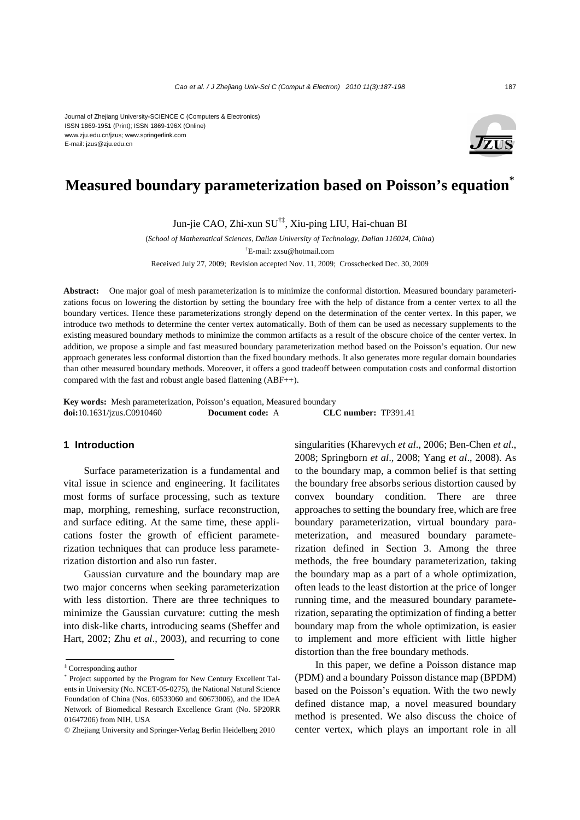# Journal of Zhejiang University-SCIENCE C (Computers & Electronics) ISSN 1869-1951 (Print); ISSN 1869-196X (Online)

www.zju.edu.cn/jzus; www.springerlink.com E-mail: jzus@zju.edu.cn



# **Measured boundary parameterization based on Poisson's equation\***

Jun-jie CAO, Zhi-xun SU†‡, Xiu-ping LIU, Hai-chuan BI

(*School of Mathematical Sciences, Dalian University of Technology, Dalian 116024, China*)

† E-mail: zxsu@hotmail.com

Received July 27, 2009; Revision accepted Nov. 11, 2009; Crosschecked Dec. 30, 2009

**Abstract:** One major goal of mesh parameterization is to minimize the conformal distortion. Measured boundary parameterizations focus on lowering the distortion by setting the boundary free with the help of distance from a center vertex to all the boundary vertices. Hence these parameterizations strongly depend on the determination of the center vertex. In this paper, we introduce two methods to determine the center vertex automatically. Both of them can be used as necessary supplements to the existing measured boundary methods to minimize the common artifacts as a result of the obscure choice of the center vertex. In addition, we propose a simple and fast measured boundary parameterization method based on the Poisson's equation. Our new approach generates less conformal distortion than the fixed boundary methods. It also generates more regular domain boundaries than other measured boundary methods. Moreover, it offers a good tradeoff between computation costs and conformal distortion compared with the fast and robust angle based flattening (ABF++).

**Key words:** Mesh parameterization, Poisson's equation, Measured boundary **doi:**10.1631/jzus.C0910460 **Document code:** A **CLC number:** TP391.41

# **1 Introduction**

Surface parameterization is a fundamental and vital issue in science and engineering. It facilitates most forms of surface processing, such as texture map, morphing, remeshing, surface reconstruction, and surface editing. At the same time, these applications foster the growth of efficient parameterization techniques that can produce less parameterization distortion and also run faster.

Gaussian curvature and the boundary map are two major concerns when seeking parameterization with less distortion. There are three techniques to minimize the Gaussian curvature: cutting the mesh into disk-like charts, introducing seams (Sheffer and Hart, 2002; Zhu *et al*., 2003), and recurring to cone singularities (Kharevych *et al*., 2006; Ben-Chen *et al*., 2008; Springborn *et al*., 2008; Yang *et al*., 2008). As to the boundary map, a common belief is that setting the boundary free absorbs serious distortion caused by convex boundary condition. There are three approaches to setting the boundary free, which are free boundary parameterization, virtual boundary parameterization, and measured boundary parameterization defined in Section 3. Among the three methods, the free boundary parameterization, taking the boundary map as a part of a whole optimization, often leads to the least distortion at the price of longer running time, and the measured boundary parameterization, separating the optimization of finding a better boundary map from the whole optimization, is easier to implement and more efficient with little higher distortion than the free boundary methods.

In this paper, we define a Poisson distance map (PDM) and a boundary Poisson distance map (BPDM) based on the Poisson's equation. With the two newly defined distance map, a novel measured boundary method is presented. We also discuss the choice of center vertex, which plays an important role in all

<sup>‡</sup> Corresponding author

<sup>\*</sup> Project supported by the Program for New Century Excellent Talents in University (No. NCET-05-0275), the National Natural Science Foundation of China (Nos. 60533060 and 60673006), and the IDeA Network of Biomedical Research Excellence Grant (No. 5P20RR 01647206) from NIH, USA

<sup>©</sup> Zhejiang University and Springer-Verlag Berlin Heidelberg 2010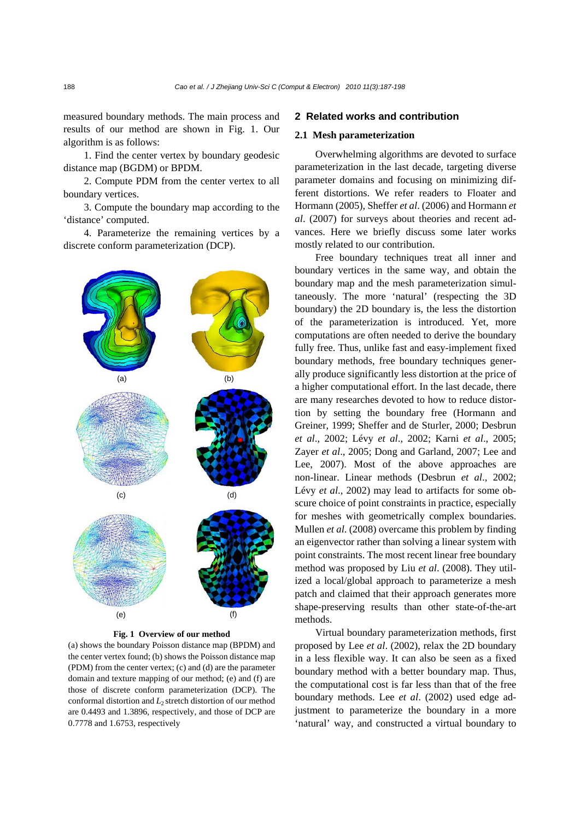measured boundary methods. The main process and results of our method are shown in Fig. 1. Our algorithm is as follows:

1. Find the center vertex by boundary geodesic distance map (BGDM) or BPDM.

2. Compute PDM from the center vertex to all boundary vertices.

3. Compute the boundary map according to the 'distance' computed.

4. Parameterize the remaining vertices by a discrete conform parameterization (DCP).



**Fig. 1 Overview of our method** 

(a) shows the boundary Poisson distance map (BPDM) and the center vertex found; (b) shows the Poisson distance map (PDM) from the center vertex; (c) and (d) are the parameter domain and texture mapping of our method; (e) and (f) are those of discrete conform parameterization (DCP). The conformal distortion and *L*2 stretch distortion of our method are 0.4493 and 1.3896, respectively, and those of DCP are 0.7778 and 1.6753, respectively

### **2 Related works and contribution**

#### **2.1 Mesh parameterization**

Overwhelming algorithms are devoted to surface parameterization in the last decade, targeting diverse parameter domains and focusing on minimizing different distortions. We refer readers to Floater and Hormann (2005), Sheffer *et al*. (2006) and Hormann *et al*. (2007) for surveys about theories and recent advances. Here we briefly discuss some later works mostly related to our contribution.

Free boundary techniques treat all inner and boundary vertices in the same way, and obtain the boundary map and the mesh parameterization simultaneously. The more 'natural' (respecting the 3D boundary) the 2D boundary is, the less the distortion of the parameterization is introduced. Yet, more computations are often needed to derive the boundary fully free. Thus, unlike fast and easy-implement fixed boundary methods, free boundary techniques generally produce significantly less distortion at the price of a higher computational effort. In the last decade, there are many researches devoted to how to reduce distortion by setting the boundary free (Hormann and Greiner, 1999; Sheffer and de Sturler, 2000; Desbrun *et al*., 2002; Lévy *et al*., 2002; Karni *et al*., 2005; Zayer *et al*., 2005; Dong and Garland, 2007; Lee and Lee, 2007). Most of the above approaches are non-linear. Linear methods (Desbrun *et al*., 2002; Lévy *et al*., 2002) may lead to artifacts for some obscure choice of point constraints in practice, especially for meshes with geometrically complex boundaries. Mullen *et al*. (2008) overcame this problem by finding an eigenvector rather than solving a linear system with point constraints. The most recent linear free boundary method was proposed by Liu *et al*. (2008). They utilized a local/global approach to parameterize a mesh patch and claimed that their approach generates more shape-preserving results than other state-of-the-art methods.

Virtual boundary parameterization methods, first proposed by Lee *et al*. (2002), relax the 2D boundary in a less flexible way. It can also be seen as a fixed boundary method with a better boundary map. Thus, the computational cost is far less than that of the free boundary methods. Lee *et al*. (2002) used edge adjustment to parameterize the boundary in a more 'natural' way, and constructed a virtual boundary to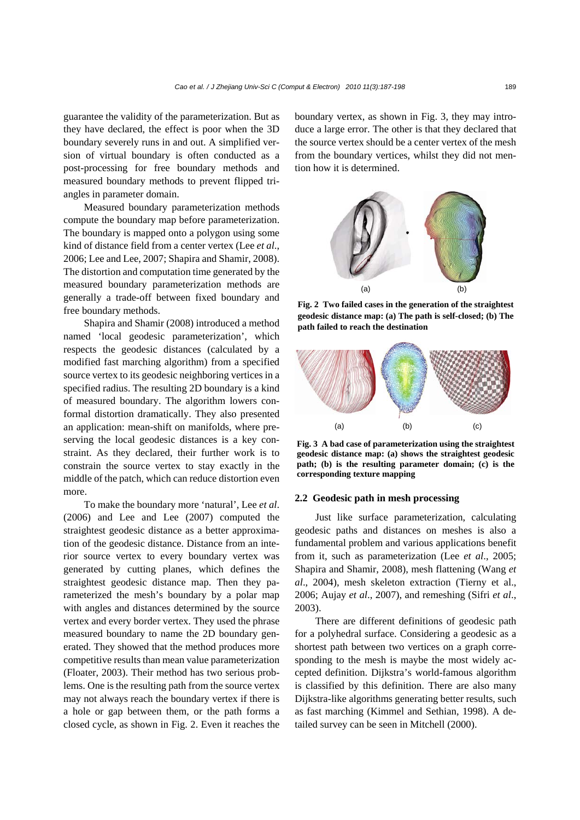guarantee the validity of the parameterization. But as they have declared, the effect is poor when the 3D boundary severely runs in and out. A simplified version of virtual boundary is often conducted as a post-processing for free boundary methods and measured boundary methods to prevent flipped triangles in parameter domain.

Measured boundary parameterization methods compute the boundary map before parameterization. The boundary is mapped onto a polygon using some kind of distance field from a center vertex (Lee *et al*., 2006; Lee and Lee, 2007; Shapira and Shamir, 2008). The distortion and computation time generated by the measured boundary parameterization methods are generally a trade-off between fixed boundary and free boundary methods.

Shapira and Shamir (2008) introduced a method named 'local geodesic parameterization', which respects the geodesic distances (calculated by a modified fast marching algorithm) from a specified source vertex to its geodesic neighboring vertices in a specified radius. The resulting 2D boundary is a kind of measured boundary. The algorithm lowers conformal distortion dramatically. They also presented an application: mean-shift on manifolds, where preserving the local geodesic distances is a key constraint. As they declared, their further work is to constrain the source vertex to stay exactly in the middle of the patch, which can reduce distortion even more.

To make the boundary more 'natural', Lee *et al*. (2006) and Lee and Lee (2007) computed the straightest geodesic distance as a better approximation of the geodesic distance. Distance from an interior source vertex to every boundary vertex was generated by cutting planes, which defines the straightest geodesic distance map. Then they parameterized the mesh's boundary by a polar map with angles and distances determined by the source vertex and every border vertex. They used the phrase measured boundary to name the 2D boundary generated. They showed that the method produces more competitive results than mean value parameterization (Floater, 2003). Their method has two serious problems. One is the resulting path from the source vertex may not always reach the boundary vertex if there is a hole or gap between them, or the path forms a closed cycle, as shown in Fig. 2. Even it reaches the boundary vertex, as shown in Fig. 3, they may introduce a large error. The other is that they declared that the source vertex should be a center vertex of the mesh from the boundary vertices, whilst they did not mention how it is determined.



**Fig. 2 Two failed cases in the generation of the straightest geodesic distance map: (a) The path is self-closed; (b) The path failed to reach the destination** 



**Fig. 3 A bad case of parameterization using the straightest geodesic distance map: (a) shows the straightest geodesic path; (b) is the resulting parameter domain; (c) is the corresponding texture mapping** 

### **2.2 Geodesic path in mesh processing**

Just like surface parameterization, calculating geodesic paths and distances on meshes is also a fundamental problem and various applications benefit from it, such as parameterization (Lee *et al*., 2005; Shapira and Shamir, 2008), mesh flattening (Wang *et al*., 2004), mesh skeleton extraction (Tierny et al., 2006; Aujay *et al*., 2007), and remeshing (Sifri *et al*., 2003).

There are different definitions of geodesic path for a polyhedral surface. Considering a geodesic as a shortest path between two vertices on a graph corresponding to the mesh is maybe the most widely accepted definition. Dijkstra's world-famous algorithm is classified by this definition. There are also many Dijkstra-like algorithms generating better results, such as fast marching (Kimmel and Sethian, 1998). A detailed survey can be seen in Mitchell (2000).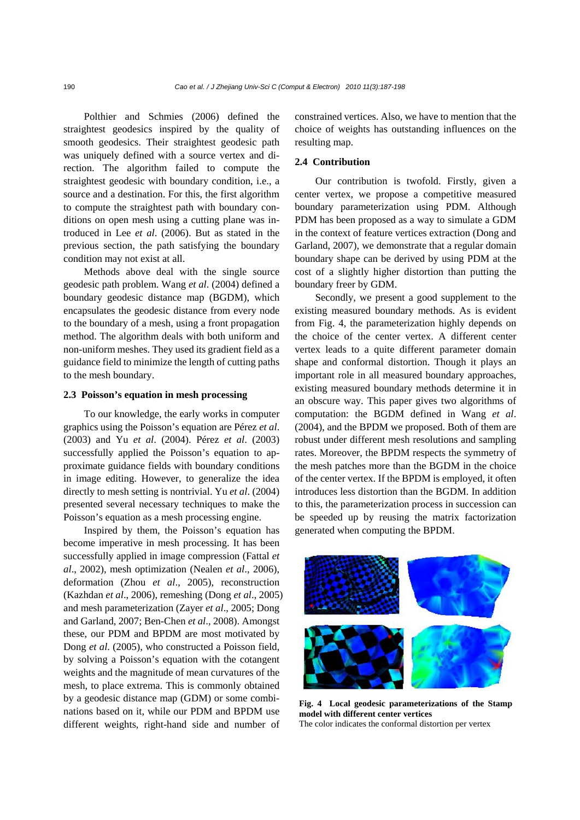Polthier and Schmies (2006) defined the straightest geodesics inspired by the quality of smooth geodesics. Their straightest geodesic path was uniquely defined with a source vertex and direction. The algorithm failed to compute the straightest geodesic with boundary condition, i.e., a source and a destination. For this, the first algorithm to compute the straightest path with boundary conditions on open mesh using a cutting plane was introduced in Lee *et al*. (2006). But as stated in the previous section, the path satisfying the boundary condition may not exist at all.

Methods above deal with the single source geodesic path problem. Wang *et al*. (2004) defined a boundary geodesic distance map (BGDM), which encapsulates the geodesic distance from every node to the boundary of a mesh, using a front propagation method. The algorithm deals with both uniform and non-uniform meshes. They used its gradient field as a guidance field to minimize the length of cutting paths to the mesh boundary.

#### **2.3 Poisson's equation in mesh processing**

To our knowledge, the early works in computer graphics using the Poisson's equation are Pérez *et al*. (2003) and Yu *et al*. (2004). Pérez *et al*. (2003) successfully applied the Poisson's equation to approximate guidance fields with boundary conditions in image editing. However, to generalize the idea directly to mesh setting is nontrivial. Yu *et al*. (2004) presented several necessary techniques to make the Poisson's equation as a mesh processing engine.

Inspired by them, the Poisson's equation has become imperative in mesh processing. It has been successfully applied in image compression (Fattal *et al*., 2002), mesh optimization (Nealen *et al*., 2006), deformation (Zhou *et al*., 2005), reconstruction (Kazhdan *et al*., 2006), remeshing (Dong *et al*., 2005) and mesh parameterization (Zayer *et al*., 2005; Dong and Garland, 2007; Ben-Chen *et al*., 2008). Amongst these, our PDM and BPDM are most motivated by Dong *et al*. (2005), who constructed a Poisson field, by solving a Poisson's equation with the cotangent weights and the magnitude of mean curvatures of the mesh, to place extrema. This is commonly obtained by a geodesic distance map (GDM) or some combinations based on it, while our PDM and BPDM use different weights, right-hand side and number of

constrained vertices. Also, we have to mention that the choice of weights has outstanding influences on the resulting map.

### **2.4 Contribution**

Our contribution is twofold. Firstly, given a center vertex, we propose a competitive measured boundary parameterization using PDM. Although PDM has been proposed as a way to simulate a GDM in the context of feature vertices extraction (Dong and Garland, 2007), we demonstrate that a regular domain boundary shape can be derived by using PDM at the cost of a slightly higher distortion than putting the boundary freer by GDM.

Secondly, we present a good supplement to the existing measured boundary methods. As is evident from Fig. 4, the parameterization highly depends on the choice of the center vertex. A different center vertex leads to a quite different parameter domain shape and conformal distortion. Though it plays an important role in all measured boundary approaches, existing measured boundary methods determine it in an obscure way. This paper gives two algorithms of computation: the BGDM defined in Wang *et al*. (2004), and the BPDM we proposed. Both of them are robust under different mesh resolutions and sampling rates. Moreover, the BPDM respects the symmetry of the mesh patches more than the BGDM in the choice of the center vertex. If the BPDM is employed, it often introduces less distortion than the BGDM. In addition to this, the parameterization process in succession can be speeded up by reusing the matrix factorization generated when computing the BPDM.



**Fig. 4 Local geodesic parameterizations of the Stamp model with different center vertices**  The color indicates the conformal distortion per vertex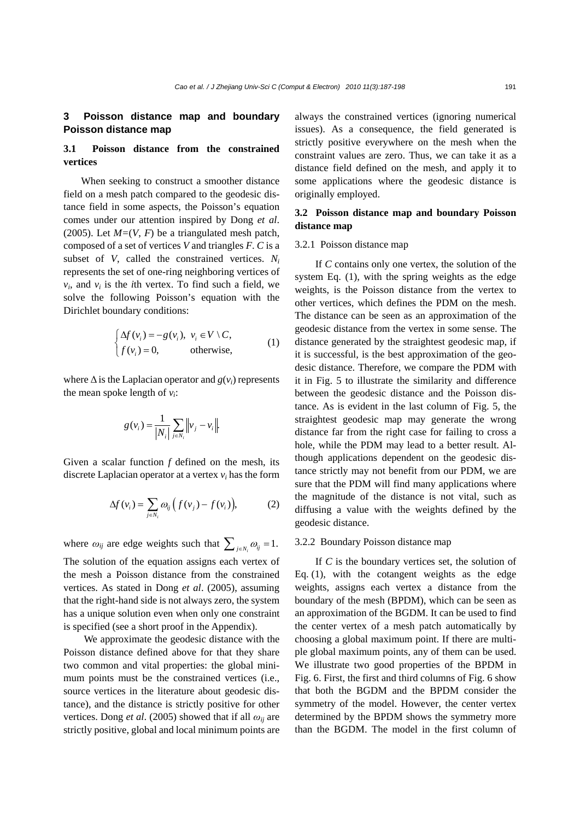# **3 Poisson distance map and boundary Poisson distance map**

# **3.1 Poisson distance from the constrained vertices**

When seeking to construct a smoother distance field on a mesh patch compared to the geodesic distance field in some aspects, the Poisson's equation comes under our attention inspired by Dong *et al*. (2005). Let  $M=(V, F)$  be a triangulated mesh patch, composed of a set of vertices *V* and triangles *F*. *C* is a subset of *V*, called the constrained vertices.  $N_i$ represents the set of one-ring neighboring vertices of  $v_i$ , and  $v_i$  is the *i*th vertex. To find such a field, we solve the following Poisson's equation with the Dirichlet boundary conditions:

$$
\begin{cases} \Delta f(v_i) = -g(v_i), & v_i \in V \setminus C, \\ f(v_i) = 0, & \text{otherwise,} \end{cases}
$$
 (1)

where Δ is the Laplacian operator and *g*(*vi*) represents the mean spoke length of *vi*:

$$
g(v_i) = \frac{1}{|N_i|} \sum_{j \in N_i} \left\|v_j - v_i\right\|.
$$

Given a scalar function *f* defined on the mesh, its discrete Laplacian operator at a vertex *vi* has the form

$$
\Delta f(v_i) = \sum_{j \in N_i} \omega_{ij} \left( f(v_j) - f(v_i) \right), \tag{2}
$$

where  $\omega_{ij}$  are edge weights such that  $\sum_{j \in N_i} \omega_{ij} = 1$ . The solution of the equation assigns each vertex of the mesh a Poisson distance from the constrained vertices. As stated in Dong *et al*. (2005), assuming that the right-hand side is not always zero, the system has a unique solution even when only one constraint is specified (see a short proof in the Appendix).

We approximate the geodesic distance with the Poisson distance defined above for that they share two common and vital properties: the global minimum points must be the constrained vertices (*i.e.*, source vertices in the literature about geodesic distance), and the distance is strictly positive for other vertices. Dong *et al.* (2005) showed that if all  $\omega_{ii}$  are strictly positive, global and local minimum points are always the constrained vertices (ignoring numerical issues). As a consequence, the field generated is strictly positive everywhere on the mesh when the constraint values are zero. Thus, we can take it as a distance field defined on the mesh, and apply it to some applications where the geodesic distance is originally employed.

# **3.2 Poisson distance map and boundary Poisson distance map**

#### 3.2.1 Poisson distance map

If *C* contains only one vertex, the solution of the system Eq. (1), with the spring weights as the edge weights, is the Poisson distance from the vertex to other vertices, which defines the PDM on the mesh. The distance can be seen as an approximation of the geodesic distance from the vertex in some sense. The distance generated by the straightest geodesic map, if it is successful, is the best approximation of the geodesic distance. Therefore, we compare the PDM with it in Fig. 5 to illustrate the similarity and difference between the geodesic distance and the Poisson distance. As is evident in the last column of Fig. 5, the straightest geodesic map may generate the wrong distance far from the right case for failing to cross a hole, while the PDM may lead to a better result. Although applications dependent on the geodesic distance strictly may not benefit from our PDM, we are sure that the PDM will find many applications where the magnitude of the distance is not vital, such as diffusing a value with the weights defined by the geodesic distance.

#### 3.2.2 Boundary Poisson distance map

If *C* is the boundary vertices set, the solution of Eq. (1), with the cotangent weights as the edge weights, assigns each vertex a distance from the boundary of the mesh (BPDM), which can be seen as an approximation of the BGDM. It can be used to find the center vertex of a mesh patch automatically by choosing a global maximum point. If there are multiple global maximum points, any of them can be used. We illustrate two good properties of the BPDM in Fig. 6. First, the first and third columns of Fig. 6 show that both the BGDM and the BPDM consider the symmetry of the model. However, the center vertex determined by the BPDM shows the symmetry more than the BGDM. The model in the first column of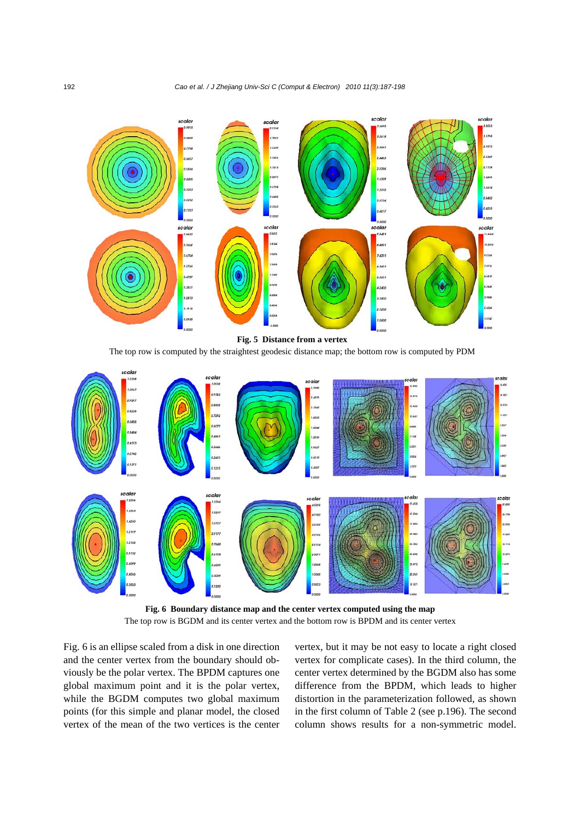

#### **Fig. 5 Distance from a vertex**

The top row is computed by the straightest geodesic distance map; the bottom row is computed by PDM



**Fig. 6 Boundary distance map and the center vertex computed using the map**  The top row is BGDM and its center vertex and the bottom row is BPDM and its center vertex

Fig. 6 is an ellipse scaled from a disk in one direction and the center vertex from the boundary should obviously be the polar vertex. The BPDM captures one global maximum point and it is the polar vertex, while the BGDM computes two global maximum points (for this simple and planar model, the closed vertex of the mean of the two vertices is the center vertex, but it may be not easy to locate a right closed vertex for complicate cases). In the third column, the center vertex determined by the BGDM also has some difference from the BPDM, which leads to higher distortion in the parameterization followed, as shown in the first column of Table 2 (see p.196). The second column shows results for a non-symmetric model.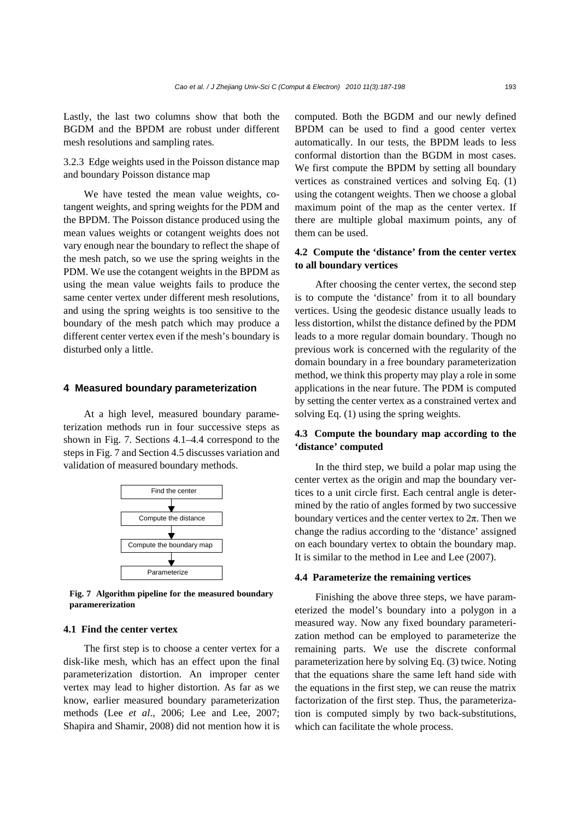Lastly, the last two columns show that both the BGDM and the BPDM are robust under different mesh resolutions and sampling rates.

3.2.3 Edge weights used in the Poisson distance map and boundary Poisson distance map

We have tested the mean value weights, cotangent weights, and spring weights for the PDM and the BPDM. The Poisson distance produced using the mean values weights or cotangent weights does not vary enough near the boundary to reflect the shape of the mesh patch, so we use the spring weights in the PDM. We use the cotangent weights in the BPDM as using the mean value weights fails to produce the same center vertex under different mesh resolutions, and using the spring weights is too sensitive to the boundary of the mesh patch which may produce a different center vertex even if the mesh's boundary is disturbed only a little.

### **4 Measured boundary parameterization**

At a high level, measured boundary parameterization methods run in four successive steps as shown in Fig. 7. Sections 4.1–4.4 correspond to the steps in Fig. 7 and Section 4.5 discusses variation and validation of measured boundary methods.



**Fig. 7 Algorithm pipeline for the measured boundary paramererization**

### **4.1 Find the center vertex**

The first step is to choose a center vertex for a disk-like mesh, which has an effect upon the final parameterization distortion. An improper center vertex may lead to higher distortion. As far as we know, earlier measured boundary parameterization methods (Lee *et al*., 2006; Lee and Lee, 2007; Shapira and Shamir, 2008) did not mention how it is computed. Both the BGDM and our newly defined BPDM can be used to find a good center vertex automatically. In our tests, the BPDM leads to less conformal distortion than the BGDM in most cases. We first compute the BPDM by setting all boundary vertices as constrained vertices and solving Eq. (1) using the cotangent weights. Then we choose a global maximum point of the map as the center vertex. If there are multiple global maximum points, any of them can be used.

# **4.2 Compute the 'distance' from the center vertex to all boundary vertices**

After choosing the center vertex, the second step is to compute the 'distance' from it to all boundary vertices. Using the geodesic distance usually leads to less distortion, whilst the distance defined by the PDM leads to a more regular domain boundary. Though no previous work is concerned with the regularity of the domain boundary in a free boundary parameterization method, we think this property may play a role in some applications in the near future. The PDM is computed by setting the center vertex as a constrained vertex and solving Eq. (1) using the spring weights.

# **4.3 Compute the boundary map according to the 'distance' computed**

In the third step, we build a polar map using the center vertex as the origin and map the boundary vertices to a unit circle first. Each central angle is determined by the ratio of angles formed by two successive boundary vertices and the center vertex to  $2\pi$ . Then we change the radius according to the 'distance' assigned on each boundary vertex to obtain the boundary map. It is similar to the method in Lee and Lee (2007).

### **4.4 Parameterize the remaining vertices**

Finishing the above three steps, we have parameterized the model's boundary into a polygon in a measured way. Now any fixed boundary parameterization method can be employed to parameterize the remaining parts. We use the discrete conformal parameterization here by solving Eq. (3) twice. Noting that the equations share the same left hand side with the equations in the first step, we can reuse the matrix factorization of the first step. Thus, the parameterization is computed simply by two back-substitutions, which can facilitate the whole process.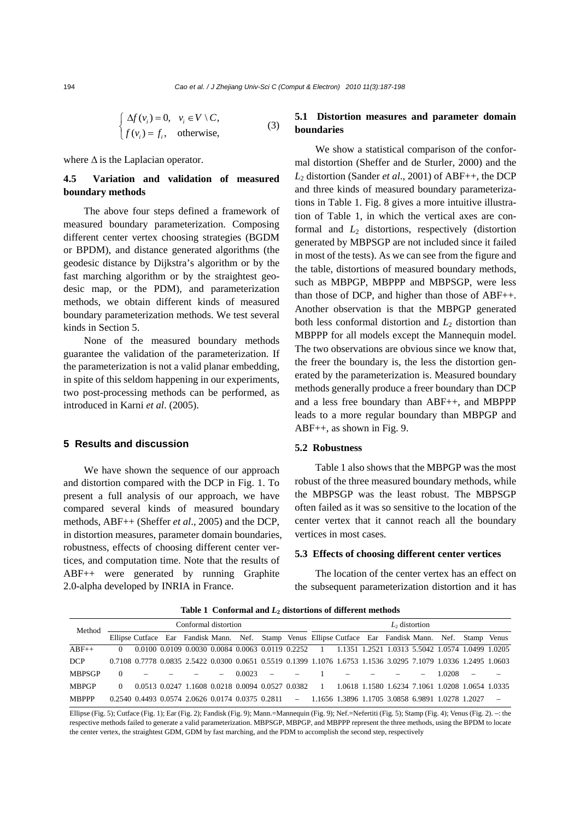$$
\begin{cases} \Delta f(v_i) = 0, & v_i \in V \setminus C, \\ f(v_i) = f_i, & \text{otherwise,} \end{cases}
$$
 (3)

where  $\Delta$  is the Laplacian operator.

# **4.5 Variation and validation of measured boundary methods**

The above four steps defined a framework of measured boundary parameterization. Composing different center vertex choosing strategies (BGDM or BPDM), and distance generated algorithms (the geodesic distance by Dijkstra's algorithm or by the fast marching algorithm or by the straightest geodesic map, or the PDM), and parameterization methods, we obtain different kinds of measured boundary parameterization methods. We test several kinds in Section 5.

None of the measured boundary methods guarantee the validation of the parameterization. If the parameterization is not a valid planar embedding, in spite of this seldom happening in our experiments, two post-processing methods can be performed, as introduced in Karni *et al*. (2005).

### **5 Results and discussion**

We have shown the sequence of our approach and distortion compared with the DCP in Fig. 1. To present a full analysis of our approach, we have compared several kinds of measured boundary methods, ABF++ (Sheffer *et al*., 2005) and the DCP, in distortion measures, parameter domain boundaries, robustness, effects of choosing different center vertices, and computation time. Note that the results of ABF++ were generated by running Graphite 2.0-alpha developed by INRIA in France.

# **5.1 Distortion measures and parameter domain boundaries**

We show a statistical comparison of the conformal distortion (Sheffer and de Sturler, 2000) and the *L*2 distortion (Sander *et al*., 2001) of ABF++, the DCP and three kinds of measured boundary parameterizations in Table 1. Fig. 8 gives a more intuitive illustration of Table 1, in which the vertical axes are conformal and *L*2 distortions, respectively (distortion generated by MBPSGP are not included since it failed in most of the tests). As we can see from the figure and the table, distortions of measured boundary methods, such as MBPGP, MBPPP and MBPSGP, were less than those of DCP, and higher than those of ABF++. Another observation is that the MBPGP generated both less conformal distortion and  $L_2$  distortion than MBPPP for all models except the Mannequin model. The two observations are obvious since we know that, the freer the boundary is, the less the distortion generated by the parameterization is. Measured boundary methods generally produce a freer boundary than DCP and a less free boundary than ABF++, and MBPPP leads to a more regular boundary than MBPGP and ABF++, as shown in Fig. 9.

### **5.2 Robustness**

Table 1 also shows that the MBPGP was the most robust of the three measured boundary methods, while the MBPSGP was the least robust. The MBPSGP often failed as it was so sensitive to the location of the center vertex that it cannot reach all the boundary vertices in most cases.

### **5.3 Effects of choosing different center vertices**

The location of the center vertex has an effect on the subsequent parameterization distortion and it has

| Method        | Conformal distortion |  |  |                                                                                                                         |  |            |  | $L_2$ distortion |  |  |  |  |  |        |  |  |
|---------------|----------------------|--|--|-------------------------------------------------------------------------------------------------------------------------|--|------------|--|------------------|--|--|--|--|--|--------|--|--|
|               |                      |  |  | Ellipse Cutface Ear Fandisk Mann. Nef. Stamp Venus Ellipse Cutface Ear Fandisk Mann. Nef. Stamp Venus                   |  |            |  |                  |  |  |  |  |  |        |  |  |
| $ABF++$       | $\Omega$             |  |  | 0.0100 0.0109 0.0030 0.0084 0.0063 0.0119 0.2252 1 1.1351 1.2521 1.0313 5.5042 1.0574 1.0499 1.0205                     |  |            |  |                  |  |  |  |  |  |        |  |  |
| <b>DCP</b>    |                      |  |  | 0.7108 0.7778 0.0835 2.5422 0.0300 0.0651 0.5519 0.1399 1.1076 1.6753 1.1536 3.0295 7.1079 1.0336 1.2495 1.0603         |  |            |  |                  |  |  |  |  |  |        |  |  |
| <b>MBPSGP</b> |                      |  |  |                                                                                                                         |  | $0.0023 -$ |  |                  |  |  |  |  |  | 1.0208 |  |  |
| <b>MBPGP</b>  | $\Omega$             |  |  | 0.0513 0.0247 1.1608 0.0218 0.0094 0.0527 0.0382 1 1.0618 1.1580 1.6234 7.1061 1.0208 1.0654 1.0335                     |  |            |  |                  |  |  |  |  |  |        |  |  |
| <b>MBPPP</b>  |                      |  |  | $0.2540$ $0.4493$ $0.0574$ $2.0626$ $0.0174$ $0.0375$ $0.2811$ $-$ 1.1656 1.3896 1.1705 3.0858 6.9891 1.0278 1.2027 $-$ |  |            |  |                  |  |  |  |  |  |        |  |  |

**Table 1 Conformal and** *L***2 distortions of different methods** 

Ellipse (Fig. 5); Cutface (Fig. 1); Ear (Fig. 2); Fandisk (Fig. 9); Mann.=Mannequin (Fig. 9); Nef.=Nefertiti (Fig. 5); Stamp (Fig. 4); Venus (Fig. 2). –: the respective methods failed to generate a valid parameterization. MBPSGP, MBPGP, and MBPPP represent the three methods, using the BPDM to locate the center vertex, the straightest GDM, GDM by fast marching, and the PDM to accomplish the second step, respectively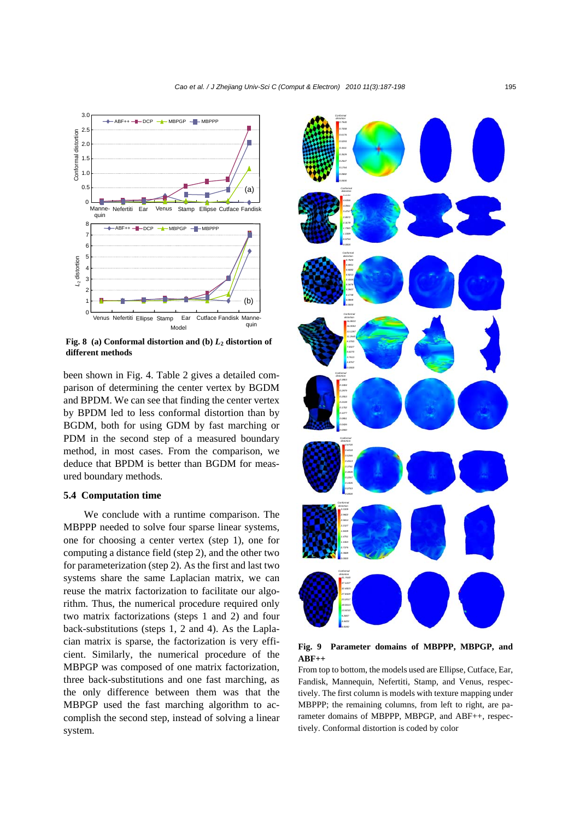

**Fig. 8** (a) Conformal distortion and (b)  $L_2$  distortion of **different methods**

been shown in Fig. 4. Table 2 gives a detailed comparison of determining the center vertex by BGDM and BPDM. We can see that finding the center vertex by BPDM led to less conformal distortion than by BGDM, both for using GDM by fast marching or PDM in the second step of a measured boundary method, in most cases. From the comparison, we deduce that BPDM is better than BGDM for measured boundary methods.

### **5.4 Computation time**

We conclude with a runtime comparison. The MBPPP needed to solve four sparse linear systems, one for choosing a center vertex (step 1), one for computing a distance field (step 2), and the other two for parameterization (step 2). As the first and last two systems share the same Laplacian matrix, we can reuse the matrix factorization to facilitate our algorithm. Thus, the numerical procedure required only two matrix factorizations (steps 1 and 2) and four back-substitutions (steps 1, 2 and 4). As the Laplacian matrix is sparse, the factorization is very efficient. Similarly, the numerical procedure of the MBPGP was composed of one matrix factorization, three back-substitutions and one fast marching, as the only difference between them was that the MBPGP used the fast marching algorithm to accomplish the second step, instead of solving a linear system.



#### **Fig. 9 Parameter domains of MBPPP, MBPGP, and ABF++**

From top to bottom, the models used are Ellipse, Cutface, Ear, Fandisk, Mannequin, Nefertiti, Stamp, and Venus, respectively. The first column is models with texture mapping under MBPPP; the remaining columns, from left to right, are parameter domains of MBPPP, MBPGP, and ABF++, respectively. Conformal distortion is coded by color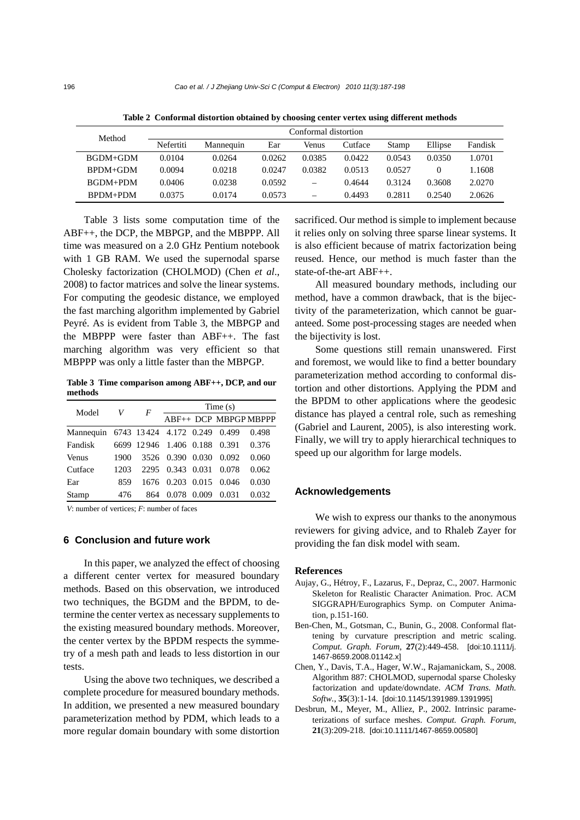| Method          | Conformal distortion |           |        |                 |         |        |          |         |  |  |  |  |
|-----------------|----------------------|-----------|--------|-----------------|---------|--------|----------|---------|--|--|--|--|
|                 | Nefertiti            | Mannequin | Ear    | Venus           | Cutface | Stamp  | Ellipse  | Fandisk |  |  |  |  |
| <b>BGDM+GDM</b> | 0.0104               | 0.0264    | 0.0262 | 0.0385          | 0.0422  | 0.0543 | 0.0350   | 1.0701  |  |  |  |  |
| $R$ PDM+GDM     | 0.0094               | 0.0218    | 0.0247 | 0.0382          | 0.0513  | 0.0527 | $\theta$ | 1.1608  |  |  |  |  |
| BGDM+PDM        | 0.0406               | 0.0238    | 0.0592 | $\qquad \qquad$ | 0.4644  | 0.3124 | 0.3608   | 2.0270  |  |  |  |  |
| $BPDM + PDM$    | 0.0375               | 0.0174    | 0.0573 | -               | 0.4493  | 0.2811 | 0.2540   | 2.0626  |  |  |  |  |

**Table 2 Conformal distortion obtained by choosing center vertex using different methods**

Table 3 lists some computation time of the ABF++, the DCP, the MBPGP, and the MBPPP. All time was measured on a 2.0 GHz Pentium notebook with 1 GB RAM. We used the supernodal sparse Cholesky factorization (CHOLMOD) (Chen *et al*., 2008) to factor matrices and solve the linear systems. For computing the geodesic distance, we employed the fast marching algorithm implemented by Gabriel Peyré. As is evident from Table 3, the MBPGP and the MBPPP were faster than ABF++. The fast marching algorithm was very efficient so that MBPPP was only a little faster than the MBPGP.

**Table 3 Time comparison among ABF++, DCP, and our methods** 

| Model                                  | V    | F                            | Time(s)          |                     |                       |       |  |  |  |  |
|----------------------------------------|------|------------------------------|------------------|---------------------|-----------------------|-------|--|--|--|--|
|                                        |      |                              |                  |                     | ABF++ DCP MBPGP MBPPP |       |  |  |  |  |
| Mannequin 6743 13424 4.172 0.249 0.499 |      |                              |                  |                     |                       | 0.498 |  |  |  |  |
| Fandisk                                |      | 6699 12946 1.406 0.188 0.391 |                  |                     |                       | 0.376 |  |  |  |  |
| Venus                                  | 1900 |                              | 3526 0.390 0.030 |                     | 0.092                 | 0.060 |  |  |  |  |
| Cutface                                | 1203 | 2295                         |                  | 0.343 0.031         | 0.078                 | 0.062 |  |  |  |  |
| Ear                                    | 859  | 1676                         |                  | $0.203 \quad 0.015$ | 0.046                 | 0.030 |  |  |  |  |
| Stamp                                  | 476  | 864                          |                  | 0.078 0.009         | 0.031                 | 0.032 |  |  |  |  |

*V*: number of vertices; *F*: number of faces

### **6 Conclusion and future work**

In this paper, we analyzed the effect of choosing a different center vertex for measured boundary methods. Based on this observation, we introduced two techniques, the BGDM and the BPDM, to determine the center vertex as necessary supplements to the existing measured boundary methods. Moreover, the center vertex by the BPDM respects the symmetry of a mesh path and leads to less distortion in our tests.

Using the above two techniques, we described a complete procedure for measured boundary methods. In addition, we presented a new measured boundary parameterization method by PDM, which leads to a more regular domain boundary with some distortion sacrificed. Our method is simple to implement because it relies only on solving three sparse linear systems. It is also efficient because of matrix factorization being reused. Hence, our method is much faster than the state-of-the-art ABF++.

All measured boundary methods, including our method, have a common drawback, that is the bijectivity of the parameterization, which cannot be guaranteed. Some post-processing stages are needed when the bijectivity is lost.

Some questions still remain unanswered. First and foremost, we would like to find a better boundary parameterization method according to conformal distortion and other distortions. Applying the PDM and the BPDM to other applications where the geodesic distance has played a central role, such as remeshing (Gabriel and Laurent, 2005), is also interesting work. Finally, we will try to apply hierarchical techniques to speed up our algorithm for large models.

#### **Acknowledgements**

We wish to express our thanks to the anonymous reviewers for giving advice, and to Rhaleb Zayer for providing the fan disk model with seam.

#### **References**

- Aujay, G., Hétroy, F., Lazarus, F., Depraz, C., 2007. Harmonic Skeleton for Realistic Character Animation. Proc. ACM SIGGRAPH/Eurographics Symp. on Computer Animation, p.151-160.
- Ben-Chen, M., Gotsman, C., Bunin, G., 2008. Conformal flattening by curvature prescription and metric scaling. *Comput. Graph. Forum*, **27**(2):449-458. [doi:10.1111/j. 1467-8659.2008.01142.x]
- Chen, Y., Davis, T.A., Hager, W.W., Rajamanickam, S., 2008. Algorithm 887: CHOLMOD, supernodal sparse Cholesky factorization and update/downdate. *ACM Trans. Math. Softw.*, **35**(3):1-14. [doi:10.1145/1391989.1391995]
- Desbrun, M., Meyer, M., Alliez, P., 2002. Intrinsic parameterizations of surface meshes. *Comput. Graph. Forum*, **21**(3):209-218. [doi:10.1111/1467-8659.00580]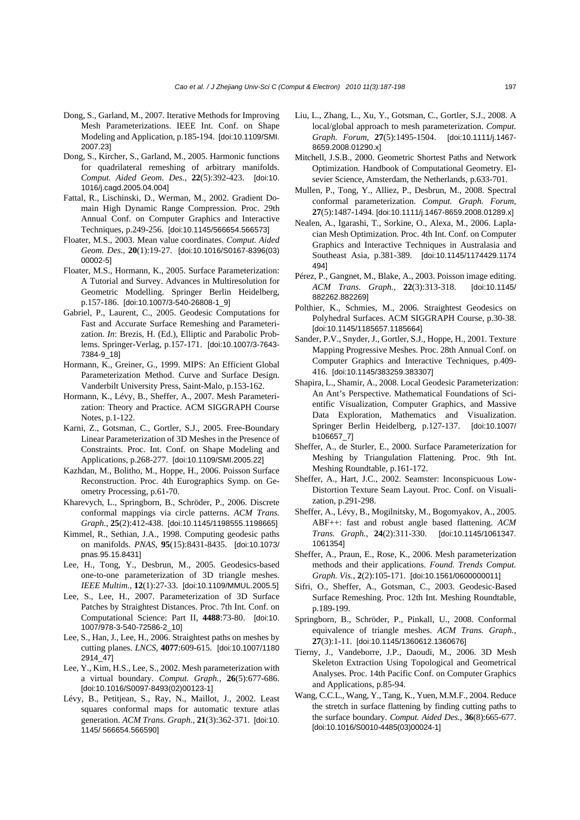- Dong, S., Garland, M., 2007. Iterative Methods for Improving Mesh Parameterizations. IEEE Int. Conf. on Shape Modeling and Application, p.185-194. [doi:10.1109/SMI. 2007.23]
- Dong, S., Kircher, S., Garland, M., 2005. Harmonic functions for quadrilateral remeshing of arbitrary manifolds. *Comput. Aided Geom. Des.*, **22**(5):392-423. [doi:10. 1016/j.cagd.2005.04.004]
- Fattal, R., Lischinski, D., Werman, M., 2002. Gradient Domain High Dynamic Range Compression. Proc. 29th Annual Conf. on Computer Graphics and Interactive Techniques, p.249-256. [doi:10.1145/566654.566573]
- Floater, M.S., 2003. Mean value coordinates. *Comput. Aided Geom. Des.*, **20**(1):19-27. [doi:10.1016/S0167-8396(03) 00002-5]
- Floater, M.S., Hormann, K., 2005. Surface Parameterization: A Tutorial and Survey. Advances in Multiresolution for Geometric Modelling. Springer Berlin Heidelberg, p.157-186. [doi:10.1007/3-540-26808-1\_9]
- Gabriel, P., Laurent, C., 2005. Geodesic Computations for Fast and Accurate Surface Remeshing and Parameterization. *In*: Brezis, H. (Ed.), Elliptic and Parabolic Problems. Springer-Verlag, p.157-171. [doi:10.1007/3-7643- 7384-9\_18]
- Hormann, K., Greiner, G., 1999. MIPS: An Efficient Global Parameterization Method. Curve and Surface Design. Vanderbilt University Press, Saint-Malo, p.153-162.
- Hormann, K., Lévy, B., Sheffer, A., 2007. Mesh Parameterization: Theory and Practice. ACM SIGGRAPH Course Notes, p.1-122.
- Karni, Z., Gotsman, C., Gortler, S.J., 2005. Free-Boundary Linear Parameterization of 3D Meshes in the Presence of Constraints. Proc. Int. Conf. on Shape Modeling and Applications, p.268-277. [doi:10.1109/SMI.2005.22]
- Kazhdan, M., Bolitho, M., Hoppe, H., 2006. Poisson Surface Reconstruction. Proc. 4th Eurographics Symp. on Geometry Processing, p.61-70.
- Kharevych, L., Springborn, B., Schröder, P., 2006. Discrete conformal mappings via circle patterns. *ACM Trans. Graph.*, **25**(2):412-438. [doi:10.1145/1198555.1198665]
- Kimmel, R., Sethian, J.A., 1998. Computing geodesic paths on manifolds. *PNAS*, **95**(15):8431-8435. [doi:10.1073/ pnas.95.15.8431]
- Lee, H., Tong, Y., Desbrun, M., 2005. Geodesics-based one-to-one parameterization of 3D triangle meshes. *IEEE Multim.*, **12**(1):27-33. [doi:10.1109/MMUL.2005.5]
- Lee, S., Lee, H., 2007. Parameterization of 3D Surface Patches by Straightest Distances. Proc. 7th Int. Conf. on Computational Science: Part II, **4488**:73-80. [doi:10. 1007/978-3-540-72586-2\_10]
- Lee, S., Han, J., Lee, H., 2006. Straightest paths on meshes by cutting planes. *LNCS*, **4077**:609-615. [doi:10.1007/1180 2914\_47]
- Lee, Y., Kim, H.S., Lee, S., 2002. Mesh parameterization with a virtual boundary. *Comput. Graph.*, **26**(5):677-686. [doi:10.1016/S0097-8493(02)00123-1]
- Lévy, B., Petitjean, S., Ray, N., Maillot, J., 2002. Least squares conformal maps for automatic texture atlas generation. *ACM Trans. Graph.*, **21**(3):362-371. [doi:10. 1145/ 566654.566590]
- Liu, L., Zhang, L., Xu, Y., Gotsman, C., Gortler, S.J., 2008. A local/global approach to mesh parameterization. *Comput. Graph. Forum*, **27**(5):1495-1504. [doi:10.1111/j.1467- 8659.2008.01290.x]
- Mitchell, J.S.B., 2000. Geometric Shortest Paths and Network Optimization. Handbook of Computational Geometry. Elsevier Science, Amsterdam, the Netherlands, p.633-701.
- Mullen, P., Tong, Y., Alliez, P., Desbrun, M., 2008. Spectral conformal parameterization. *Comput. Graph. Forum*, **27**(5):1487-1494. [doi:10.1111/j.1467-8659.2008.01289.x]
- Nealen, A., Igarashi, T., Sorkine, O., Alexa, M., 2006. Laplacian Mesh Optimization. Proc. 4th Int. Conf. on Computer Graphics and Interactive Techniques in Australasia and Southeast Asia, p.381-389. [doi:10.1145/1174429.1174 494]
- Pérez, P., Gangnet, M., Blake, A., 2003. Poisson image editing. *ACM Trans. Graph.*, **22**(3):313-318. [doi:10.1145/ 882262.882269]
- Polthier, K., Schmies, M., 2006. Straightest Geodesics on Polyhedral Surfaces. ACM SIGGRAPH Course, p.30-38. [doi:10.1145/1185657.1185664]
- Sander, P.V., Snyder, J., Gortler, S.J., Hoppe, H., 2001. Texture Mapping Progressive Meshes. Proc. 28th Annual Conf. on Computer Graphics and Interactive Techniques, p.409- 416. [doi:10.1145/383259.383307]
- Shapira, L., Shamir, A., 2008. Local Geodesic Parameterization: An Ant's Perspective. Mathematical Foundations of Scientific Visualization, Computer Graphics, and Massive Data Exploration, Mathematics and Visualization. Springer Berlin Heidelberg, p.127-137. [doi:10.1007/ b106657\_7]
- Sheffer, A., de Sturler, E., 2000. Surface Parameterization for Meshing by Triangulation Flattening. Proc. 9th Int. Meshing Roundtable, p.161-172.
- Sheffer, A., Hart, J.C., 2002. Seamster: Inconspicuous Low-Distortion Texture Seam Layout. Proc. Conf. on Visualization, p.291-298.
- Sheffer, A., Lévy, B., Mogilnitsky, M., Bogomyakov, A., 2005. ABF++: fast and robust angle based flattening. *ACM Trans. Graph.*, **24**(2):311-330. [doi:10.1145/1061347. 1061354]
- Sheffer, A., Praun, E., Rose, K., 2006. Mesh parameterization methods and their applications. *Found. Trends Comput. Graph. Vis.*, **2**(2):105-171. [doi:10.1561/0600000011]
- Sifri, O., Sheffer, A., Gotsman, C., 2003. Geodesic-Based Surface Remeshing. Proc. 12th Int. Meshing Roundtable, p.189-199.
- Springborn, B., Schröder, P., Pinkall, U., 2008. Conformal equivalence of triangle meshes. *ACM Trans. Graph.*, **27**(3):1-11. [doi:10.1145/1360612.1360676]
- Tierny, J., Vandeborre, J.P., Daoudi, M., 2006. 3D Mesh Skeleton Extraction Using Topological and Geometrical Analyses. Proc. 14th Pacific Conf. on Computer Graphics and Applications, p.85-94.
- Wang, C.C.L., Wang, Y., Tang, K., Yuen, M.M.F., 2004. Reduce the stretch in surface flattening by finding cutting paths to the surface boundary. *Comput. Aided Des.*, **36**(8):665-677. [doi:10.1016/S0010-4485(03)00024-1]